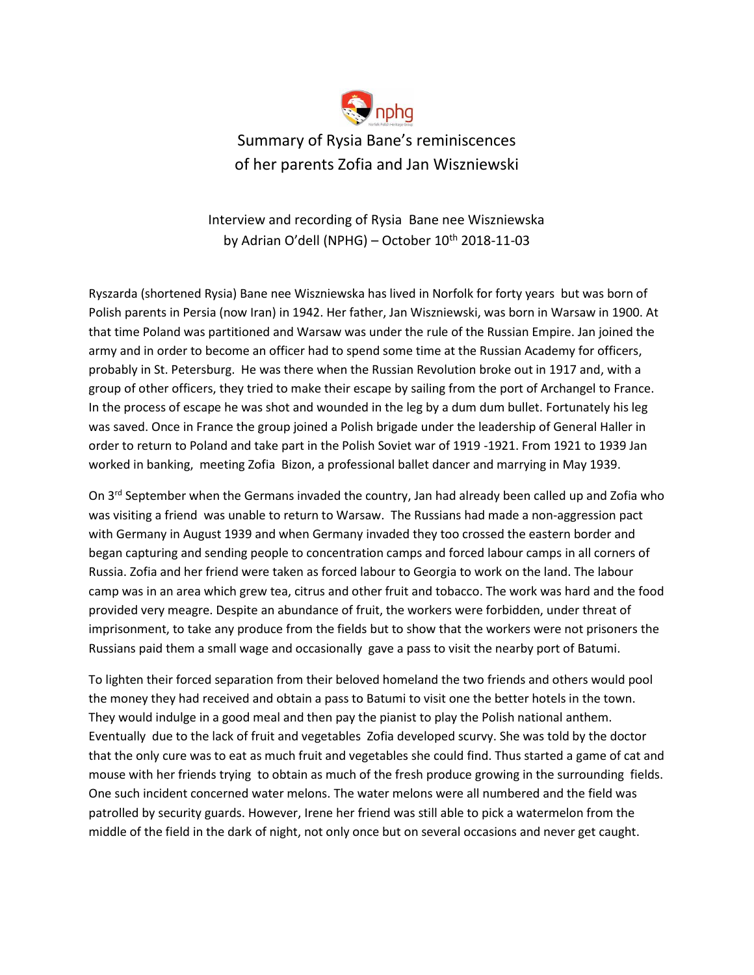

Interview and recording of Rysia Bane nee Wiszniewska by Adrian O'dell (NPHG) – October  $10^{th}$  2018-11-03

Ryszarda (shortened Rysia) Bane nee Wiszniewska has lived in Norfolk for forty years but was born of Polish parents in Persia (now Iran) in 1942. Her father, Jan Wiszniewski, was born in Warsaw in 1900. At that time Poland was partitioned and Warsaw was under the rule of the Russian Empire. Jan joined the army and in order to become an officer had to spend some time at the Russian Academy for officers, probably in St. Petersburg. He was there when the Russian Revolution broke out in 1917 and, with a group of other officers, they tried to make their escape by sailing from the port of Archangel to France. In the process of escape he was shot and wounded in the leg by a dum dum bullet. Fortunately his leg was saved. Once in France the group joined a Polish brigade under the leadership of General Haller in order to return to Poland and take part in the Polish Soviet war of 1919 -1921. From 1921 to 1939 Jan worked in banking, meeting Zofia Bizon, a professional ballet dancer and marrying in May 1939.

On 3<sup>rd</sup> September when the Germans invaded the country, Jan had already been called up and Zofia who was visiting a friend was unable to return to Warsaw. The Russians had made a non-aggression pact with Germany in August 1939 and when Germany invaded they too crossed the eastern border and began capturing and sending people to concentration camps and forced labour camps in all corners of Russia. Zofia and her friend were taken as forced labour to Georgia to work on the land. The labour camp was in an area which grew tea, citrus and other fruit and tobacco. The work was hard and the food provided very meagre. Despite an abundance of fruit, the workers were forbidden, under threat of imprisonment, to take any produce from the fields but to show that the workers were not prisoners the Russians paid them a small wage and occasionally gave a pass to visit the nearby port of Batumi.

To lighten their forced separation from their beloved homeland the two friends and others would pool the money they had received and obtain a pass to Batumi to visit one the better hotels in the town. They would indulge in a good meal and then pay the pianist to play the Polish national anthem. Eventually due to the lack of fruit and vegetables Zofia developed scurvy. She was told by the doctor that the only cure was to eat as much fruit and vegetables she could find. Thus started a game of cat and mouse with her friends trying to obtain as much of the fresh produce growing in the surrounding fields. One such incident concerned water melons. The water melons were all numbered and the field was patrolled by security guards. However, Irene her friend was still able to pick a watermelon from the middle of the field in the dark of night, not only once but on several occasions and never get caught.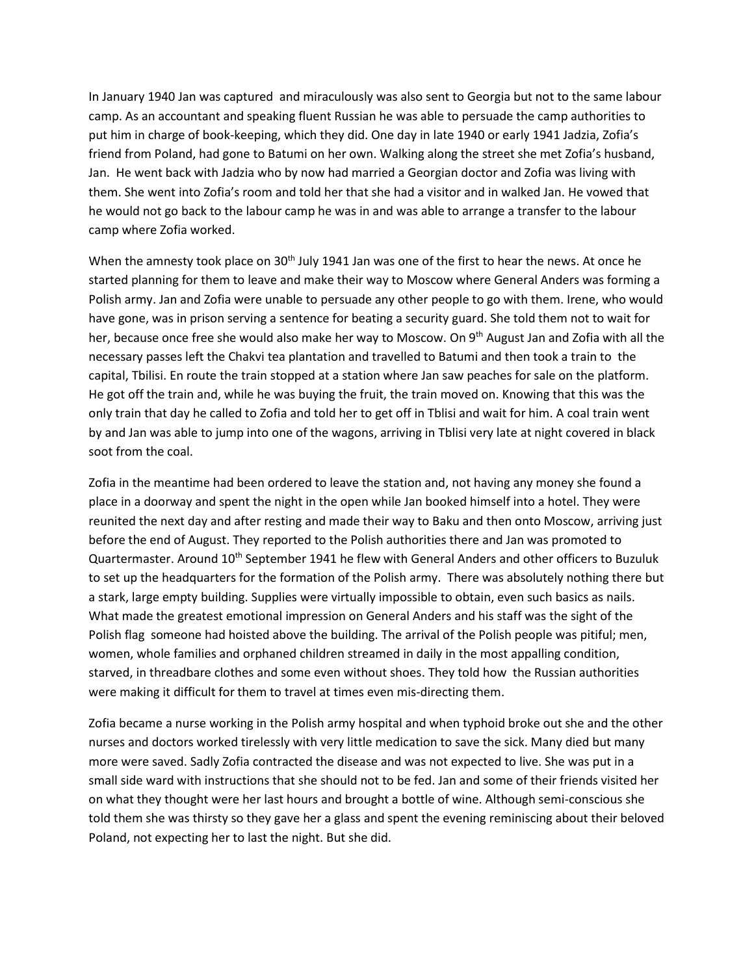In January 1940 Jan was captured and miraculously was also sent to Georgia but not to the same labour camp. As an accountant and speaking fluent Russian he was able to persuade the camp authorities to put him in charge of book-keeping, which they did. One day in late 1940 or early 1941 Jadzia, Zofia's friend from Poland, had gone to Batumi on her own. Walking along the street she met Zofia's husband, Jan. He went back with Jadzia who by now had married a Georgian doctor and Zofia was living with them. She went into Zofia's room and told her that she had a visitor and in walked Jan. He vowed that he would not go back to the labour camp he was in and was able to arrange a transfer to the labour camp where Zofia worked.

When the amnesty took place on  $30<sup>th</sup>$  July 1941 Jan was one of the first to hear the news. At once he started planning for them to leave and make their way to Moscow where General Anders was forming a Polish army. Jan and Zofia were unable to persuade any other people to go with them. Irene, who would have gone, was in prison serving a sentence for beating a security guard. She told them not to wait for her, because once free she would also make her way to Moscow. On 9<sup>th</sup> August Jan and Zofia with all the necessary passes left the Chakvi tea plantation and travelled to Batumi and then took a train to the capital, Tbilisi. En route the train stopped at a station where Jan saw peaches for sale on the platform. He got off the train and, while he was buying the fruit, the train moved on. Knowing that this was the only train that day he called to Zofia and told her to get off in Tblisi and wait for him. A coal train went by and Jan was able to jump into one of the wagons, arriving in Tblisi very late at night covered in black soot from the coal.

Zofia in the meantime had been ordered to leave the station and, not having any money she found a place in a doorway and spent the night in the open while Jan booked himself into a hotel. They were reunited the next day and after resting and made their way to Baku and then onto Moscow, arriving just before the end of August. They reported to the Polish authorities there and Jan was promoted to Quartermaster. Around 10<sup>th</sup> September 1941 he flew with General Anders and other officers to Buzuluk to set up the headquarters for the formation of the Polish army. There was absolutely nothing there but a stark, large empty building. Supplies were virtually impossible to obtain, even such basics as nails. What made the greatest emotional impression on General Anders and his staff was the sight of the Polish flag someone had hoisted above the building. The arrival of the Polish people was pitiful; men, women, whole families and orphaned children streamed in daily in the most appalling condition, starved, in threadbare clothes and some even without shoes. They told how the Russian authorities were making it difficult for them to travel at times even mis-directing them.

Zofia became a nurse working in the Polish army hospital and when typhoid broke out she and the other nurses and doctors worked tirelessly with very little medication to save the sick. Many died but many more were saved. Sadly Zofia contracted the disease and was not expected to live. She was put in a small side ward with instructions that she should not to be fed. Jan and some of their friends visited her on what they thought were her last hours and brought a bottle of wine. Although semi-conscious she told them she was thirsty so they gave her a glass and spent the evening reminiscing about their beloved Poland, not expecting her to last the night. But she did.